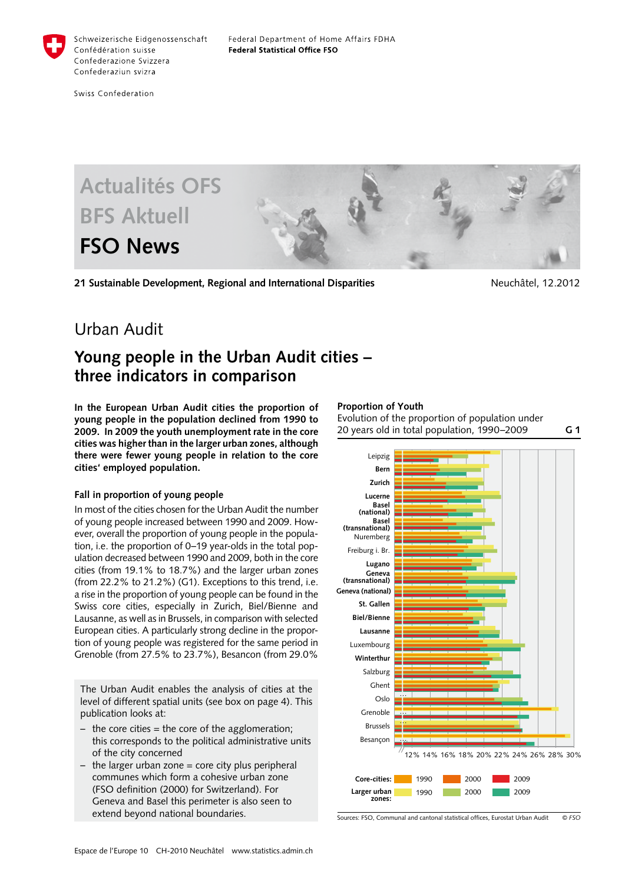

Swiss Confederation



**21 Sustainable Development, Regional and International Disparities Neuchash Merchatel**, 12.2012

**G 1**

# Urban Audit

# **Young people in the Urban Audit cities – three indicators in comparison**

**In the European Urban Audit cities the proportion of young people in the population declined from 1990 to 2009. In 2009 the youth unemployment rate in the core cities was higher than in the larger urban zones, although there were fewer young people in relation to the core cities' employed population.** 

## **Fall in proportion of young people**

In most of the cities chosen for the Urban Audit the number of young people increased between 1990 and 2009. However, overall the proportion of young people in the population, i.e. the proportion of 0–19 year-olds in the total population decreased between 1990 and 2009, both in the core cities (from 19.1% to 18.7%) and the larger urban zones (from 22.2% to 21.2%) (G1). Exceptions to this trend, i.e. a rise in the proportion of young people can be found in the Swiss core cities, especially in Zurich, Biel/Bienne and Lausanne, as well as in Brussels, in comparison with selected European cities. A particularly strong decline in the proportion of young people was registered for the same period in Grenoble (from 27.5% to 23.7%), Besancon (from 29.0%

The Urban Audit enables the analysis of cities at the level of different spatial units (see box on page 4). This publication looks at:

- the core cities = the core of the agglomeration; this corresponds to the political administrative units of the city concerned
- $-$  the larger urban zone  $=$  core city plus peripheral communes which form a cohesive urban zone (FSO definition (2000) for Switzerland). For Geneva and Basel this perimeter is also seen to extend beyond national boundaries.

#### **Proportion of Youth**

Evolution of the proportion of population under 20 years old in total population, 1990–2009



*© FSO* Sources: FSO, Communal and cantonal statistical offices, Eurostat Urban Audit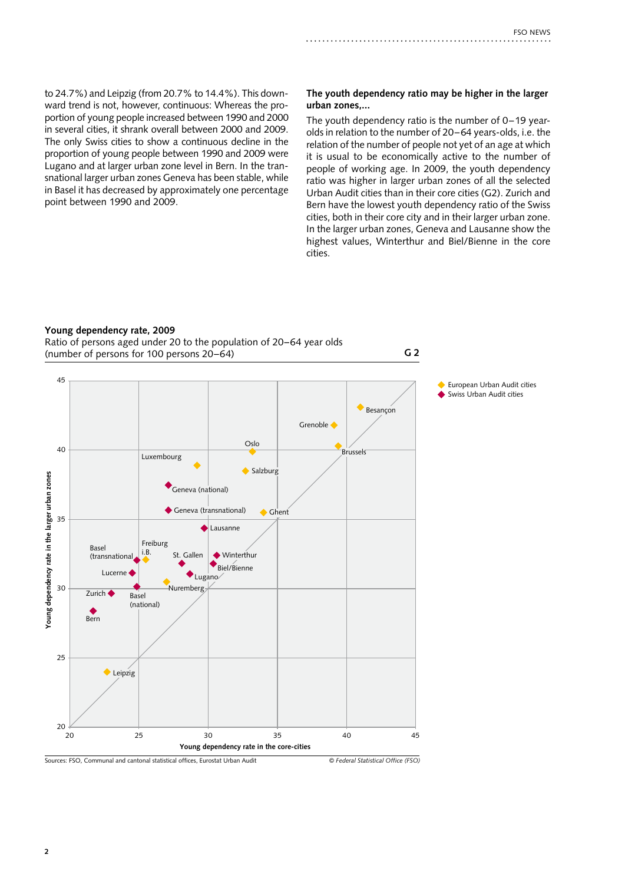to 24.7%) and Leipzig (from 20.7% to 14.4%). This downward trend is not, however, continuous: Whereas the proportion of young people increased between 1990 and 2000 in several cities, it shrank overall between 2000 and 2009. The only Swiss cities to show a continuous decline in the proportion of young people between 1990 and 2009 were Lugano and at larger urban zone level in Bern. In the transnational larger urban zones Geneva has been stable, while in Basel it has decreased by approximately one percentage point between 1990 and 2009.

#### **The youth dependency ratio may be higher in the larger urban zones,...**

The youth dependency ratio is the number of 0–19 yearolds in relation to the number of 20–64 years-olds, i.e. the relation of the number of people not yet of an age at which it is usual to be economically active to the number of people of working age. In 2009, the youth dependency ratio was higher in larger urban zones of all the selected Urban Audit cities than in their core cities (G2). Zurich and Bern have the lowest youth dependency ratio of the Swiss cities, both in their core city and in their larger urban zone. In the larger urban zones, Geneva and Lausanne show the highest values, Winterthur and Biel/Bienne in the core cities.

**G 2**

#### **Young dependency rate, 2009**

Ratio of persons aged under 20 to the population of 20–64 year olds (number of persons for 100 persons 20–64)

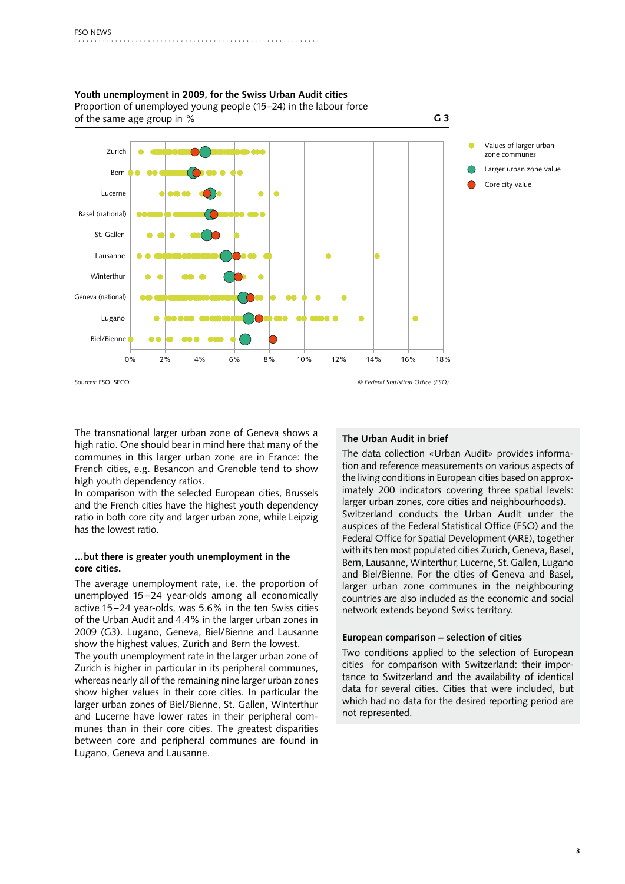

**Youth unemployment in 2009, for the Swiss Urban Audit cities** Proportion of unemployed young people (15–24) in the labour force

The transnational larger urban zone of Geneva shows a high ratio. One should bear in mind here that many of the communes in this larger urban zone are in France: the French cities, e.g. Besancon and Grenoble tend to show high youth dependency ratios.

In comparison with the selected European cities, Brussels and the French cities have the highest youth dependency ratio in both core city and larger urban zone, while Leipzig has the lowest ratio.

### **...but there is greater youth unemployment in the core cities.**

The average unemployment rate, i.e. the proportion of unemployed 15–24 year-olds among all economically active 15–24 year-olds, was 5.6% in the ten Swiss cities of the Urban Audit and 4.4% in the larger urban zones in 2009 (G3). Lugano, Geneva, Biel/Bienne and Lausanne show the highest values, Zurich and Bern the lowest.

The youth unemployment rate in the larger urban zone of Zurich is higher in particular in its peripheral communes, whereas nearly all of the remaining nine larger urban zones show higher values in their core cities. In particular the larger urban zones of Biel/Bienne, St. Gallen, Winterthur and Lucerne have lower rates in their peripheral communes than in their core cities. The greatest disparities between core and peripheral communes are found in Lugano, Geneva and Lausanne.

### **The Urban Audit in brief**

The data collection «Urban Audit» provides information and reference measurements on various aspects of the living conditions in European cities based on approximately 200 indicators covering three spatial levels: larger urban zones, core cities and neighbourhoods). Switzerland conducts the Urban Audit under the auspices of the Federal Statistical Office (FSO) and the Federal Office for Spatial Development (ARE), together with its ten most populated cities Zurich, Geneva, Basel, Bern, Lausanne, Winterthur, Lucerne, St. Gallen, Lugano and Biel/Bienne. For the cities of Geneva and Basel, larger urban zone communes in the neighbouring countries are also included as the economic and social network extends beyond Swiss territory.

#### **European comparison – selection of cities**

Two conditions applied to the selection of European cities for comparison with Switzerland: their importance to Switzerland and the availability of identical data for several cities. Cities that were included, but which had no data for the desired reporting period are not represented.